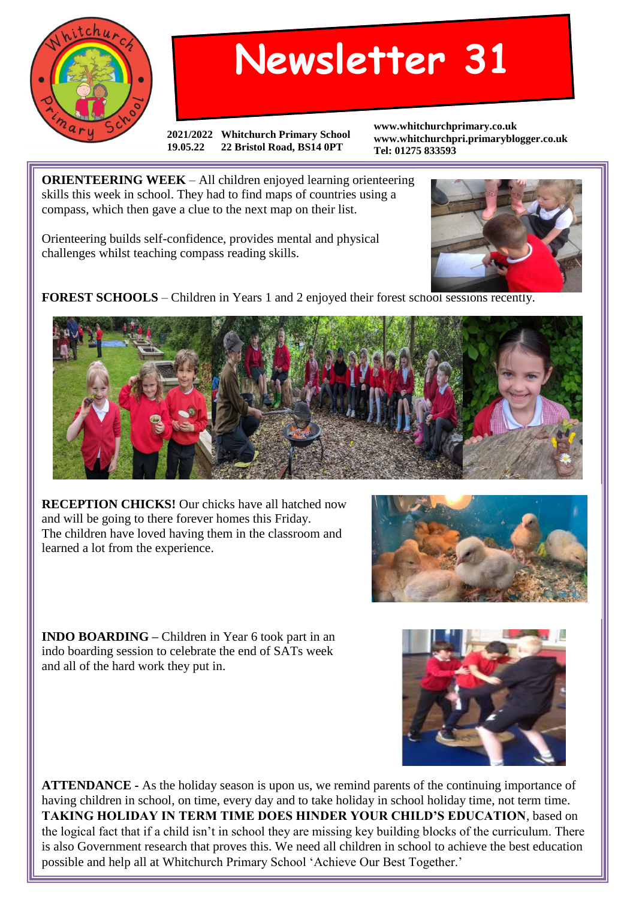

## **Newsletter 31**

**2021/2022 Whitchurch Primary School 19.05.22 22 Bristol Road, BS14 0PT**

**www.whitchurchprimary.co.uk www.whitchurchpri.primaryblogger.co.uk Tel: 01275 833593**

**ORIENTEERING WEEK** – All children enjoyed learning orienteering skills this week in school. They had to find maps of countries using a compass, which then gave a clue to the next map on their list.

Orienteering builds self-confidence, provides mental and physical challenges whilst teaching compass reading skills.



**FOREST SCHOOLS** – Children in Years 1 and 2 enjoyed their forest school sessions recently.



**RECEPTION CHICKS!** Our chicks have all hatched now and will be going to there forever homes this Friday. The children have loved having them in the classroom and learned a lot from the experience.



**INDO BOARDING –** Children in Year 6 took part in an indo boarding session to celebrate the end of SATs week and all of the hard work they put in.

**ATTENDANCE -** As the holiday season is upon us, we remind parents of the continuing importance of having children in school, on time, every day and to take holiday in school holiday time, not term time. **TAKING HOLIDAY IN TERM TIME DOES HINDER YOUR CHILD'S EDUCATION**, based on the logical fact that if a child isn't in school they are missing key building blocks of the curriculum. There is also Government research that proves this. We need all children in school to achieve the best education possible and help all at Whitchurch Primary School 'Achieve Our Best Together.'